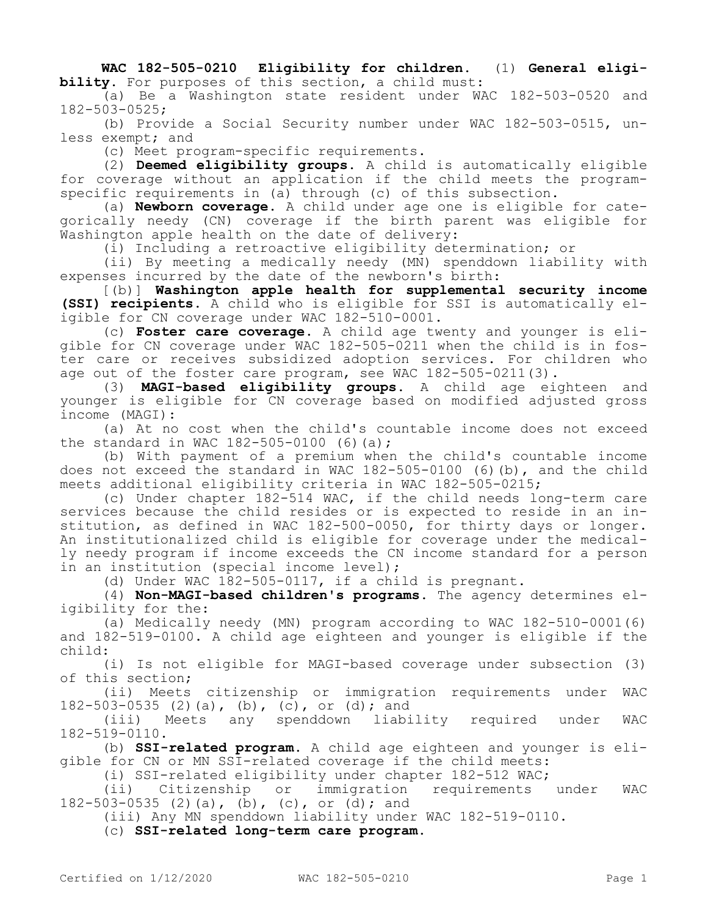**WAC 182-505-0210 Eligibility for children.** (1) **General eligibility.** For purposes of this section, a child must:

(a) Be a Washington state resident under WAC 182-503-0520 and 182-503-0525;

(b) Provide a Social Security number under WAC 182-503-0515, unless exempt; and

(c) Meet program-specific requirements.

(2) **Deemed eligibility groups.** A child is automatically eligible for coverage without an application if the child meets the programspecific requirements in (a) through (c) of this subsection.

(a) **Newborn coverage.** A child under age one is eligible for categorically needy (CN) coverage if the birth parent was eligible for Washington apple health on the date of delivery:

(i) Including a retroactive eligibility determination; or

(ii) By meeting a medically needy (MN) spenddown liability with expenses incurred by the date of the newborn's birth:

[(b)] **Washington apple health for supplemental security income (SSI) recipients.** A child who is eligible for SSI is automatically eligible for CN coverage under WAC 182-510-0001.

(c) **Foster care coverage.** A child age twenty and younger is eligible for CN coverage under WAC 182-505-0211 when the child is in foster care or receives subsidized adoption services. For children who age out of the foster care program, see WAC 182-505-0211(3).

(3) **MAGI-based eligibility groups.** A child age eighteen and younger is eligible for CN coverage based on modified adjusted gross income (MAGI):

(a) At no cost when the child's countable income does not exceed the standard in WAC 182-505-0100 (6)(a);

(b) With payment of a premium when the child's countable income does not exceed the standard in WAC 182-505-0100 (6)(b), and the child meets additional eligibility criteria in WAC 182-505-0215;

(c) Under chapter 182-514 WAC, if the child needs long-term care services because the child resides or is expected to reside in an institution, as defined in WAC 182-500-0050, for thirty days or longer. An institutionalized child is eligible for coverage under the medically needy program if income exceeds the CN income standard for a person in an institution (special income level);

(d) Under WAC 182-505-0117, if a child is pregnant.

(4) **Non-MAGI-based children's programs.** The agency determines eligibility for the:

(a) Medically needy (MN) program according to WAC 182-510-0001(6) and 182-519-0100. A child age eighteen and younger is eligible if the child:

(i) Is not eligible for MAGI-based coverage under subsection (3) of this section;

(ii) Meets citizenship or immigration requirements under WAC 182-503-0535 (2)(a), (b), (c), or (d); and

(iii) Meets any spenddown liability required under WAC 182-519-0110.

(b) **SSI-related program.** A child age eighteen and younger is eligible for CN or MN SSI-related coverage if the child meets:

(i) SSI-related eligibility under chapter 182-512 WAC;<br>(ii) Citizenship or immigration requirements

(ii) Citizenship or immigration requirements under WAC 182-503-0535 (2)(a), (b), (c), or (d); and

(iii) Any MN spenddown liability under WAC 182-519-0110.

(c) **SSI-related long-term care program.**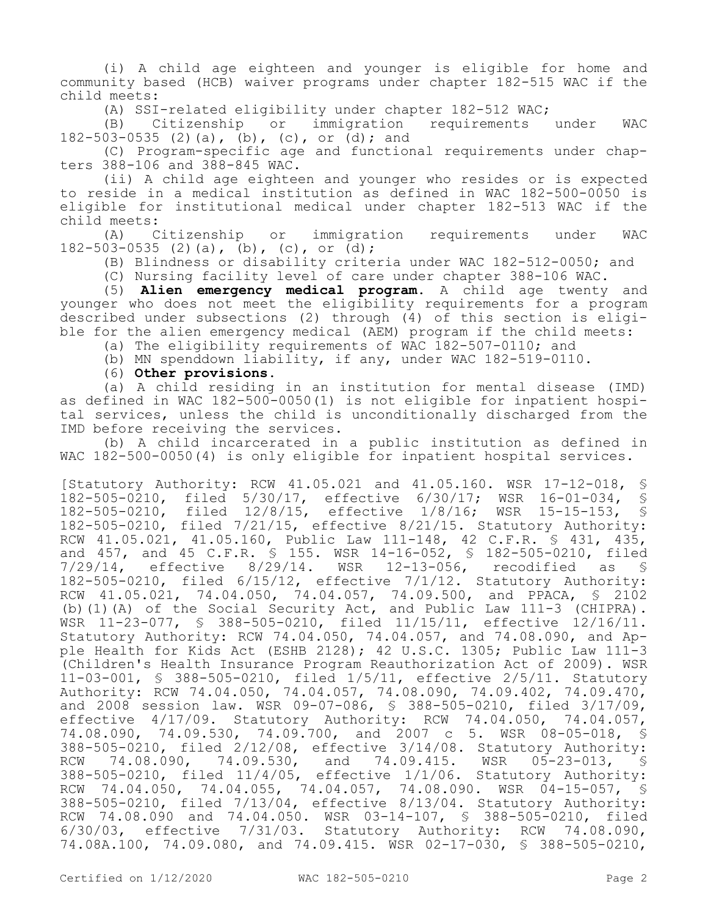(i) A child age eighteen and younger is eligible for home and community based (HCB) waiver programs under chapter 182-515 WAC if the child meets:

(A) SSI-related eligibility under chapter 182-512 WAC;<br>(B) Citizenship or immigration requirements

(B) Citizenship or immigration requirements under WAC 182-503-0535 (2)(a), (b), (c), or (d); and

(C) Program-specific age and functional requirements under chapters 388-106 and 388-845 WAC.

(ii) A child age eighteen and younger who resides or is expected to reside in a medical institution as defined in WAC 182-500-0050 is eligible for institutional medical under chapter 182-513 WAC if the child meets:<br>(A) Citizenship

(A) Citizenship or immigration requirements under WAC 182-503-0535 (2)(a), (b), (c), or (d);

(B) Blindness or disability criteria under WAC 182-512-0050; and

(C) Nursing facility level of care under chapter 388-106 WAC.

(5) **Alien emergency medical program.** A child age twenty and younger who does not meet the eligibility requirements for a program described under subsections (2) through (4) of this section is eligible for the alien emergency medical (AEM) program if the child meets:

(a) The eligibility requirements of WAC 182-507-0110; and

(b) MN spenddown liability, if any, under WAC 182-519-0110.

(6) **Other provisions.**

(a) A child residing in an institution for mental disease (IMD) as defined in WAC 182-500-0050(1) is not eligible for inpatient hospital services, unless the child is unconditionally discharged from the IMD before receiving the services.

(b) A child incarcerated in a public institution as defined in WAC 182-500-0050(4) is only eligible for inpatient hospital services.

[Statutory Authority: RCW 41.05.021 and 41.05.160. WSR 17-12-018, § 182-505-0210, filed 5/30/17, effective 6/30/17; WSR 16-01-034, § filed  $12/8/15$ , effective  $1/8/16$ ; WSR 15-15-153, § 182-505-0210, filed 7/21/15, effective 8/21/15. Statutory Authority: RCW 41.05.021, 41.05.160, Public Law 111-148, 42 C.F.R. § 431, 435, and 457, and 45 C.F.R. § 155. WSR 14-16-052, § 182-505-0210, filed 7/29/14, effective 8/29/14. WSR 12-13-056, recodified as § 182-505-0210, filed 6/15/12, effective 7/1/12. Statutory Authority: RCW 41.05.021, 74.04.050, 74.04.057, 74.09.500, and PPACA, § 2102 (b)(1)(A) of the Social Security Act, and Public Law 111-3 (CHIPRA). WSR 11-23-077, § 388-505-0210, filed 11/15/11, effective 12/16/11. Statutory Authority: RCW 74.04.050, 74.04.057, and 74.08.090, and Apple Health for Kids Act (ESHB 2128); 42 U.S.C. 1305; Public Law 111-3 .<br>(Children's Health Insurance Program Reauthorization Act of 2009). WSR 11-03-001, § 388-505-0210, filed 1/5/11, effective 2/5/11. Statutory Authority: RCW 74.04.050, 74.04.057, 74.08.090, 74.09.402, 74.09.470, and 2008 session law. WSR 09-07-086, § 388-505-0210, filed 3/17/09, effective 4/17/09. Statutory Authority: RCW 74.04.050, 74.04.057, 74.08.090, 74.09.530, 74.09.700, and 2007 c 5. WSR 08-05-018, § 388-505-0210, filed 2/12/08, effective 3/14/08. Statutory Authority: RCW 74.08.090, 74.09.530, and 74.09.415. WSR 05-23-013, § 388-505-0210, filed 11/4/05, effective 1/1/06. Statutory Authority: RCW 74.04.050, 74.04.055, 74.04.057, 74.08.090. WSR 04-15-057, § 388-505-0210, filed 7/13/04, effective 8/13/04. Statutory Authority: RCW 74.08.090 and 74.04.050. WSR 03-14-107, § 388-505-0210, filed 6/30/03, effective 7/31/03. Statutory Authority: RCW 74.08.090, 74.08A.100, 74.09.080, and 74.09.415. WSR 02-17-030, § 388-505-0210,